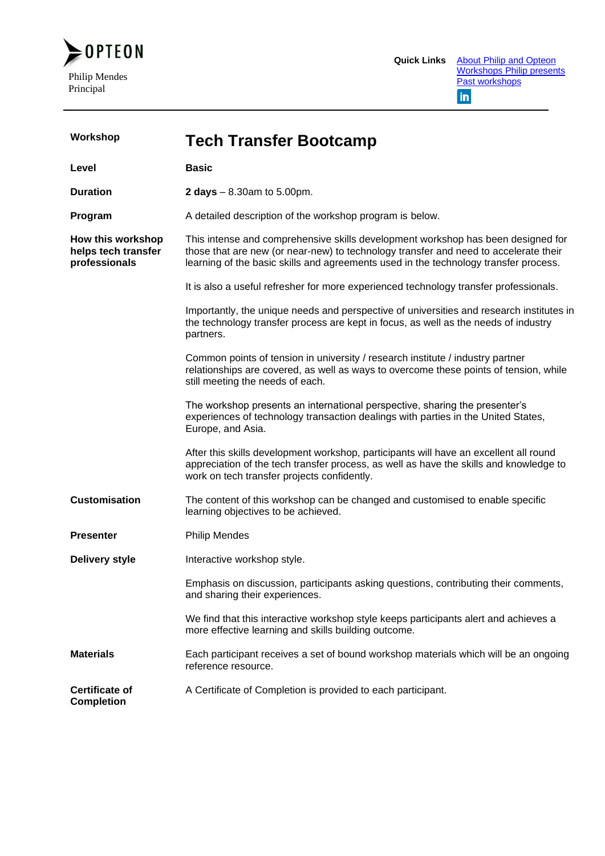

| Workshop                                                  | <b>Tech Transfer Bootcamp</b>                                                                                                                                                                                                                                    |
|-----------------------------------------------------------|------------------------------------------------------------------------------------------------------------------------------------------------------------------------------------------------------------------------------------------------------------------|
| Level                                                     | <b>Basic</b>                                                                                                                                                                                                                                                     |
| <b>Duration</b>                                           | <b>2 days</b> $- 8.30$ am to 5.00pm.                                                                                                                                                                                                                             |
| Program                                                   | A detailed description of the workshop program is below.                                                                                                                                                                                                         |
| How this workshop<br>helps tech transfer<br>professionals | This intense and comprehensive skills development workshop has been designed for<br>those that are new (or near-new) to technology transfer and need to accelerate their<br>learning of the basic skills and agreements used in the technology transfer process. |
|                                                           | It is also a useful refresher for more experienced technology transfer professionals.                                                                                                                                                                            |
|                                                           | Importantly, the unique needs and perspective of universities and research institutes in<br>the technology transfer process are kept in focus, as well as the needs of industry<br>partners.                                                                     |
|                                                           | Common points of tension in university / research institute / industry partner<br>relationships are covered, as well as ways to overcome these points of tension, while<br>still meeting the needs of each.                                                      |
|                                                           | The workshop presents an international perspective, sharing the presenter's<br>experiences of technology transaction dealings with parties in the United States,<br>Europe, and Asia.                                                                            |
|                                                           | After this skills development workshop, participants will have an excellent all round<br>appreciation of the tech transfer process, as well as have the skills and knowledge to<br>work on tech transfer projects confidently.                                   |
| <b>Customisation</b>                                      | The content of this workshop can be changed and customised to enable specific<br>learning objectives to be achieved.                                                                                                                                             |
| <b>Presenter</b>                                          | <b>Philip Mendes</b>                                                                                                                                                                                                                                             |
| <b>Delivery style</b>                                     | Interactive workshop style.                                                                                                                                                                                                                                      |
|                                                           | Emphasis on discussion, participants asking questions, contributing their comments,<br>and sharing their experiences.                                                                                                                                            |
|                                                           | We find that this interactive workshop style keeps participants alert and achieves a<br>more effective learning and skills building outcome.                                                                                                                     |
| <b>Materials</b>                                          | Each participant receives a set of bound workshop materials which will be an ongoing<br>reference resource.                                                                                                                                                      |
| <b>Certificate of</b><br><b>Completion</b>                | A Certificate of Completion is provided to each participant.                                                                                                                                                                                                     |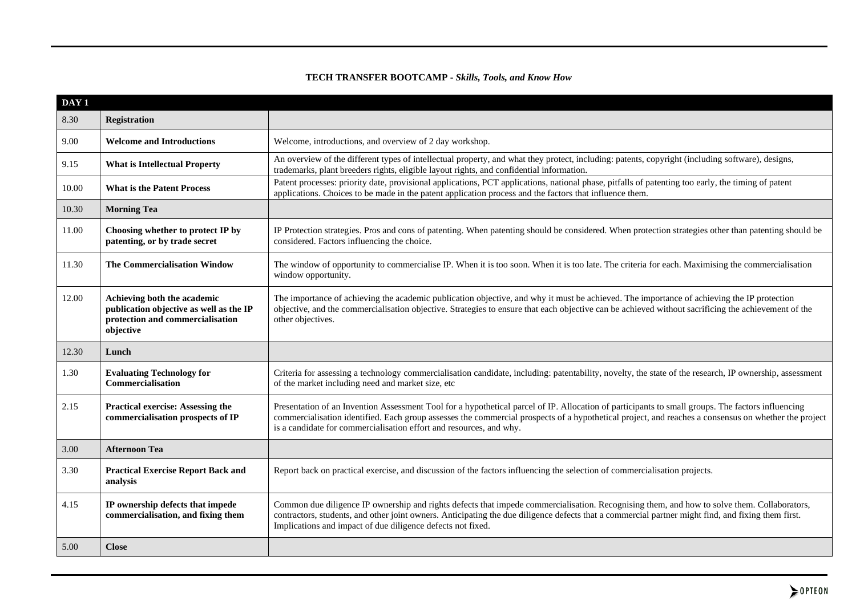## **TECH TRANSFER BOOTCAMP -** *Skills, Tools, and Know How*

| DAY <sub>1</sub> |                                                                                                                         |                                                                                                                                                                                                                                                                                                                                                                                  |  |  |
|------------------|-------------------------------------------------------------------------------------------------------------------------|----------------------------------------------------------------------------------------------------------------------------------------------------------------------------------------------------------------------------------------------------------------------------------------------------------------------------------------------------------------------------------|--|--|
| 8.30             | <b>Registration</b>                                                                                                     |                                                                                                                                                                                                                                                                                                                                                                                  |  |  |
| 9.00             | <b>Welcome and Introductions</b>                                                                                        | Welcome, introductions, and overview of 2 day workshop.                                                                                                                                                                                                                                                                                                                          |  |  |
| 9.15             | <b>What is Intellectual Property</b>                                                                                    | An overview of the different types of intellectual property, and what they protect, including: patents, copyright (including software), designs,<br>trademarks, plant breeders rights, eligible layout rights, and confidential information.                                                                                                                                     |  |  |
| 10.00            | <b>What is the Patent Process</b>                                                                                       | Patent processes: priority date, provisional applications, PCT applications, national phase, pitfalls of patenting too early, the timing of patent<br>applications. Choices to be made in the patent application process and the factors that influence them.                                                                                                                    |  |  |
| 10.30            | <b>Morning Tea</b>                                                                                                      |                                                                                                                                                                                                                                                                                                                                                                                  |  |  |
| 11.00            | Choosing whether to protect IP by<br>patenting, or by trade secret                                                      | IP Protection strategies. Pros and cons of patenting. When patenting should be considered. When protection strategies other than patenting should be<br>considered. Factors influencing the choice.                                                                                                                                                                              |  |  |
| 11.30            | <b>The Commercialisation Window</b>                                                                                     | The window of opportunity to commercialise IP. When it is too soon. When it is too late. The criteria for each. Maximising the commercialisation<br>window opportunity.                                                                                                                                                                                                          |  |  |
| 12.00            | Achieving both the academic<br>publication objective as well as the IP<br>protection and commercialisation<br>objective | The importance of achieving the academic publication objective, and why it must be achieved. The importance of achieving the IP protection<br>objective, and the commercialisation objective. Strategies to ensure that each objective can be achieved without sacrificing the achievement of the<br>other objectives.                                                           |  |  |
| 12.30            | Lunch                                                                                                                   |                                                                                                                                                                                                                                                                                                                                                                                  |  |  |
| 1.30             | <b>Evaluating Technology for</b><br>Commercialisation                                                                   | Criteria for assessing a technology commercialisation candidate, including: patentability, novelty, the state of the research, IP ownership, assessment<br>of the market including need and market size, etc                                                                                                                                                                     |  |  |
| 2.15             | <b>Practical exercise: Assessing the</b><br>commercialisation prospects of IP                                           | Presentation of an Invention Assessment Tool for a hypothetical parcel of IP. Allocation of participants to small groups. The factors influencing<br>commercialisation identified. Each group assesses the commercial prospects of a hypothetical project, and reaches a consensus on whether the project<br>is a candidate for commercialisation effort and resources, and why. |  |  |
| 3.00             | <b>Afternoon Tea</b>                                                                                                    |                                                                                                                                                                                                                                                                                                                                                                                  |  |  |
| 3.30             | <b>Practical Exercise Report Back and</b><br>analysis                                                                   | Report back on practical exercise, and discussion of the factors influencing the selection of commercialisation projects.                                                                                                                                                                                                                                                        |  |  |
| 4.15             | IP ownership defects that impede<br>commercialisation, and fixing them                                                  | Common due diligence IP ownership and rights defects that impede commercialisation. Recognising them, and how to solve them. Collaborators,<br>contractors, students, and other joint owners. Anticipating the due diligence defects that a commercial partner might find, and fixing them first.<br>Implications and impact of due diligence defects not fixed.                 |  |  |
| 5.00             | <b>Close</b>                                                                                                            |                                                                                                                                                                                                                                                                                                                                                                                  |  |  |